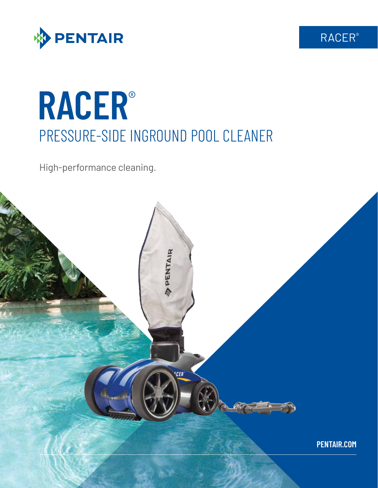

# **RACER**® PRESSURE-SIDE INGROUND POOL CLEANER

High-performance cleaning.



RACER®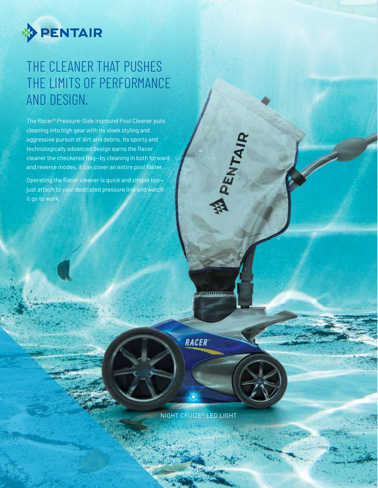

# THE CLEANER THAT PUSHES THE LIMITS OF PERFORMANCE AND DESIGN.

The Racer® Pressure-Side Inground Pool Cleaner puts cleaning into high gear with its sleek styling and aggressive pursuit of dirt and debris. Its sporty and technologically advanced design earns the Racer cleaner the checkered flag—by cleaning in both forward and reverse modes, it can cover an entire pool faster.

Operating the Racer cleaner is quick and simple too just attach to your dedicated pressure line and watch it go to work.

**RACER** 

**MALLER CONTROL** 

**A PENTAIR** 

NIGHT CRUIZE® LED LIGHT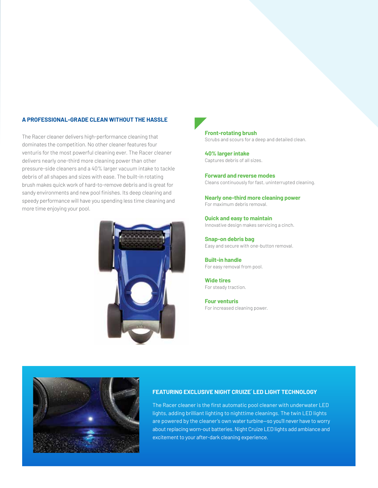### **A PROFESSIONAL-GRADE CLEAN WITHOUT THE HASSLE**

The Racer cleaner delivers high-performance cleaning that dominates the competition. No other cleaner features four venturis for the most powerful cleaning ever. The Racer cleaner delivers nearly one-third more cleaning power than other pressure-side cleaners and a 40% larger vacuum intake to tackle debris of all shapes and sizes with ease. The built-in rotating brush makes quick work of hard-to-remove debris and is great for sandy environments and new pool finishes. Its deep cleaning and speedy performance will have you spending less time cleaning and more time enjoying your pool.



**Front-rotating brush** Scrubs and scours for a deep and detailed clean.

**40% larger intake** Captures debris of all sizes.

**Forward and reverse modes** Cleans continuously for fast, uninterrupted cleaning.

**Nearly one-third more cleaning power** For maximum debris removal.

**Quick and easy to maintain** Innovative design makes servicing a cinch.

**Snap-on debris bag** Easy and secure with one-button removal.

**Built-in handle** For easy removal from pool.

**Wide tires** For steady traction.

**Four venturis** For increased cleaning power.



#### **FEATURING EXCLUSIVE NIGHT CRUIZE® LED LIGHT TECHNOLOGY**

The Racer cleaner is the first automatic pool cleaner with underwater LED lights, adding brilliant lighting to nighttime cleanings. The twin LED lights are powered by the cleaner's own water turbine—so you'll never have to worry about replacing worn-out batteries. Night Cruize LED lights add ambiance and excitement to your after-dark cleaning experience.